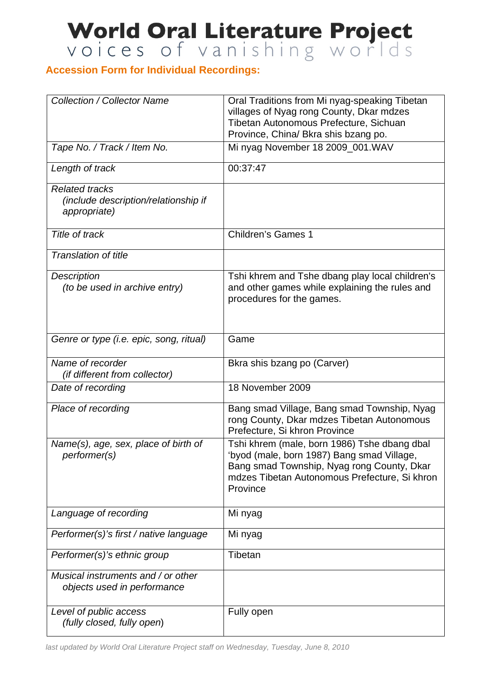## World Oral Literature Project

## **Accession Form for Individual Recordings:**

| <b>Collection / Collector Name</b>                                                   | Oral Traditions from Mi nyag-speaking Tibetan<br>villages of Nyag rong County, Dkar mdzes<br>Tibetan Autonomous Prefecture, Sichuan<br>Province, China/ Bkra shis bzang po.                           |
|--------------------------------------------------------------------------------------|-------------------------------------------------------------------------------------------------------------------------------------------------------------------------------------------------------|
| Tape No. / Track / Item No.                                                          | Mi nyag November 18 2009_001. WAV                                                                                                                                                                     |
| Length of track                                                                      | 00:37:47                                                                                                                                                                                              |
| <b>Related tracks</b><br><i>(include description/relationship if</i><br>appropriate) |                                                                                                                                                                                                       |
| Title of track                                                                       | <b>Children's Games 1</b>                                                                                                                                                                             |
| <b>Translation of title</b>                                                          |                                                                                                                                                                                                       |
| <b>Description</b><br>(to be used in archive entry)                                  | Tshi khrem and Tshe dbang play local children's<br>and other games while explaining the rules and<br>procedures for the games.                                                                        |
| Genre or type (i.e. epic, song, ritual)                                              | Game                                                                                                                                                                                                  |
| Name of recorder<br><i>(if different from collector)</i>                             | Bkra shis bzang po (Carver)                                                                                                                                                                           |
| Date of recording                                                                    | 18 November 2009                                                                                                                                                                                      |
| Place of recording                                                                   | Bang smad Village, Bang smad Township, Nyag<br>rong County, Dkar mdzes Tibetan Autonomous<br>Prefecture, Si khron Province                                                                            |
| Name(s), age, sex, place of birth of<br>performer(s)                                 | Tshi khrem (male, born 1986) Tshe dbang dbal<br>'byod (male, born 1987) Bang smad Village,<br>Bang smad Township, Nyag rong County, Dkar<br>mdzes Tibetan Autonomous Prefecture, Si khron<br>Province |
| Language of recording                                                                | Mi nyag                                                                                                                                                                                               |
| Performer(s)'s first / native language                                               | Mi nyag                                                                                                                                                                                               |
| Performer(s)'s ethnic group                                                          | Tibetan                                                                                                                                                                                               |
| Musical instruments and / or other<br>objects used in performance                    |                                                                                                                                                                                                       |
| Level of public access<br>(fully closed, fully open)                                 | Fully open                                                                                                                                                                                            |

*last updated by World Oral Literature Project staff on Wednesday, Tuesday, June 8, 2010*